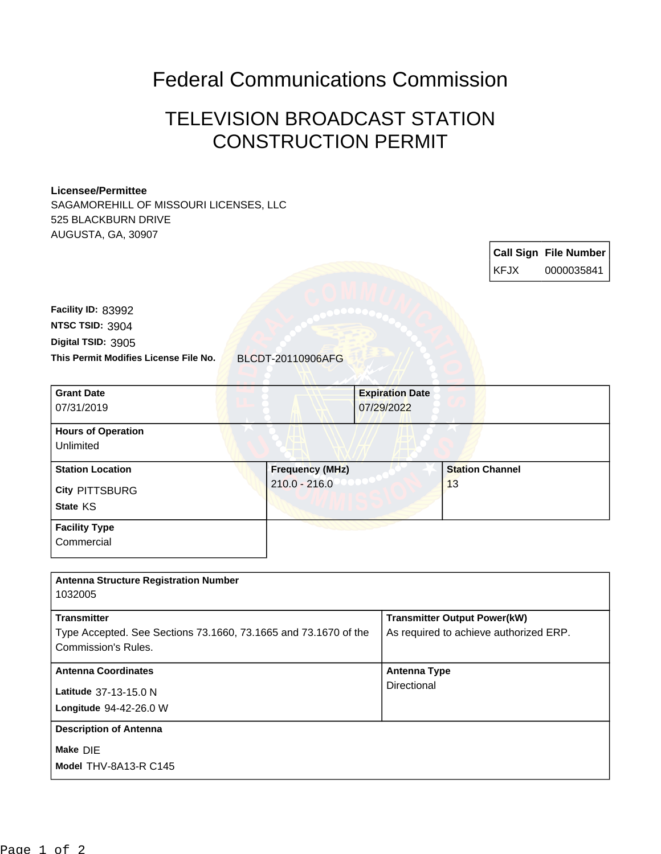## Federal Communications Commission

## TELEVISION BROADCAST STATION CONSTRUCTION PERMIT

## **Licensee/Permittee**

**Commercial** 

SAGAMOREHILL OF MISSOURI LICENSES, LLC 525 BLACKBURN DRIVE AUGUSTA, GA, 30907

|                                       |                        |                        | <b>KFJX</b>            | <b>Call Sign File Number</b><br>0000035841 |
|---------------------------------------|------------------------|------------------------|------------------------|--------------------------------------------|
| Facility ID: 83992<br>NTSC TSID: 3904 |                        |                        |                        |                                            |
| Digital TSID: 3905                    |                        |                        |                        |                                            |
| This Permit Modifies License File No. | BLCDT-20110906AFG      |                        |                        |                                            |
| <b>Grant Date</b>                     |                        | <b>Expiration Date</b> |                        |                                            |
| 07/31/2019                            |                        | 07/29/2022             |                        |                                            |
| <b>Hours of Operation</b>             |                        |                        |                        |                                            |
| Unlimited                             |                        |                        |                        |                                            |
| <b>Station Location</b>               | <b>Frequency (MHz)</b> |                        | <b>Station Channel</b> |                                            |
| <b>City PITTSBURG</b>                 | $210.0 - 216.0$        |                        | 13                     |                                            |
| State KS                              |                        |                        |                        |                                            |
| <b>Facility Type</b>                  |                        |                        |                        |                                            |

| <b>Antenna Structure Registration Number</b>                                           |                                        |
|----------------------------------------------------------------------------------------|----------------------------------------|
| 1032005                                                                                |                                        |
| <b>Transmitter</b>                                                                     | <b>Transmitter Output Power(kW)</b>    |
| Type Accepted. See Sections 73.1660, 73.1665 and 73.1670 of the<br>Commission's Rules. | As required to achieve authorized ERP. |
| <b>Antenna Coordinates</b>                                                             | <b>Antenna Type</b>                    |
| Latitude 37-13-15.0 N                                                                  | Directional                            |
| Longitude 94-42-26.0 W                                                                 |                                        |
| <b>Description of Antenna</b>                                                          |                                        |
| Make DIE                                                                               |                                        |
| Model THV-8A13-R C145                                                                  |                                        |